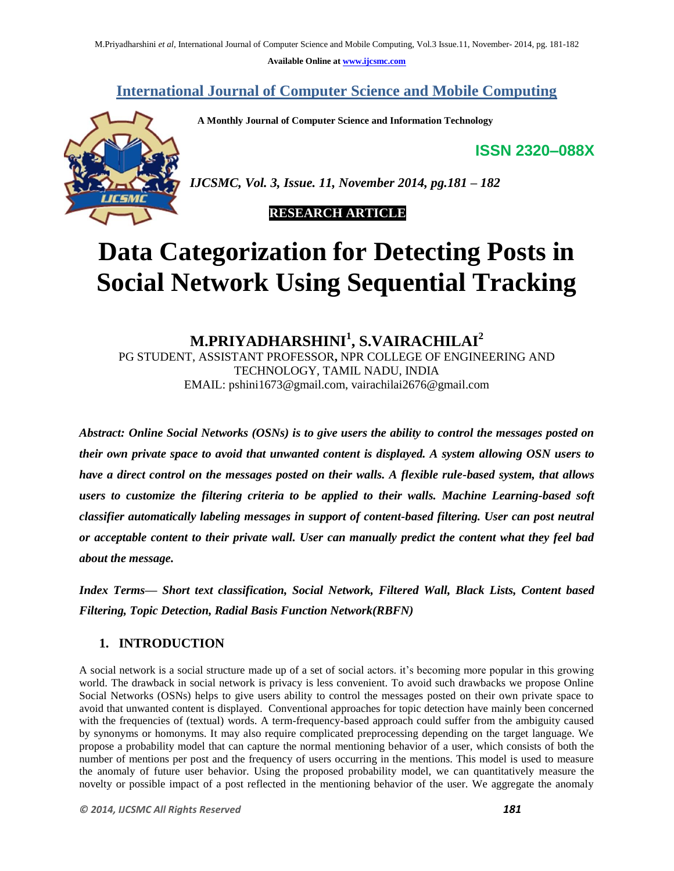**Available Online at www.ijcsmc.com**

## **International Journal of Computer Science and Mobile Computing**

 **A Monthly Journal of Computer Science and Information Technology**

**ISSN 2320–088X**



*IJCSMC, Vol. 3, Issue. 11, November 2014, pg.181 – 182*

## **RESEARCH ARTICLE**

# **Data Categorization for Detecting Posts in Social Network Using Sequential Tracking**

**M.PRIYADHARSHINI<sup>1</sup> , S.VAIRACHILAI<sup>2</sup>** PG STUDENT, ASSISTANT PROFESSOR**,** NPR COLLEGE OF ENGINEERING AND TECHNOLOGY, TAMIL NADU, INDIA EMAIL: pshini1673@gmail.com, vairachilai2676@gmail.com

*Abstract: Online Social Networks (OSNs) is to give users the ability to control the messages posted on their own private space to avoid that unwanted content is displayed. A system allowing OSN users to have a direct control on the messages posted on their walls. A flexible rule-based system, that allows users to customize the filtering criteria to be applied to their walls. Machine Learning-based soft classifier automatically labeling messages in support of content-based filtering. User can post neutral or acceptable content to their private wall. User can manually predict the content what they feel bad about the message.* 

*Index Terms— Short text classification, Social Network, Filtered Wall, Black Lists, Content based Filtering, Topic Detection, Radial Basis Function Network(RBFN)*

## **1. INTRODUCTION**

A social network is a social structure made up of a set of social actors. it's becoming more popular in this growing world. The drawback in social network is privacy is less convenient. To avoid such drawbacks we propose Online Social Networks (OSNs) helps to give users ability to control the messages posted on their own private space to avoid that unwanted content is displayed. Conventional approaches for topic detection have mainly been concerned with the frequencies of (textual) words. A term-frequency-based approach could suffer from the ambiguity caused by synonyms or homonyms. It may also require complicated preprocessing depending on the target language. We propose a probability model that can capture the normal mentioning behavior of a user, which consists of both the number of mentions per post and the frequency of users occurring in the mentions. This model is used to measure the anomaly of future user behavior. Using the proposed probability model, we can quantitatively measure the novelty or possible impact of a post reflected in the mentioning behavior of the user. We aggregate the anomaly